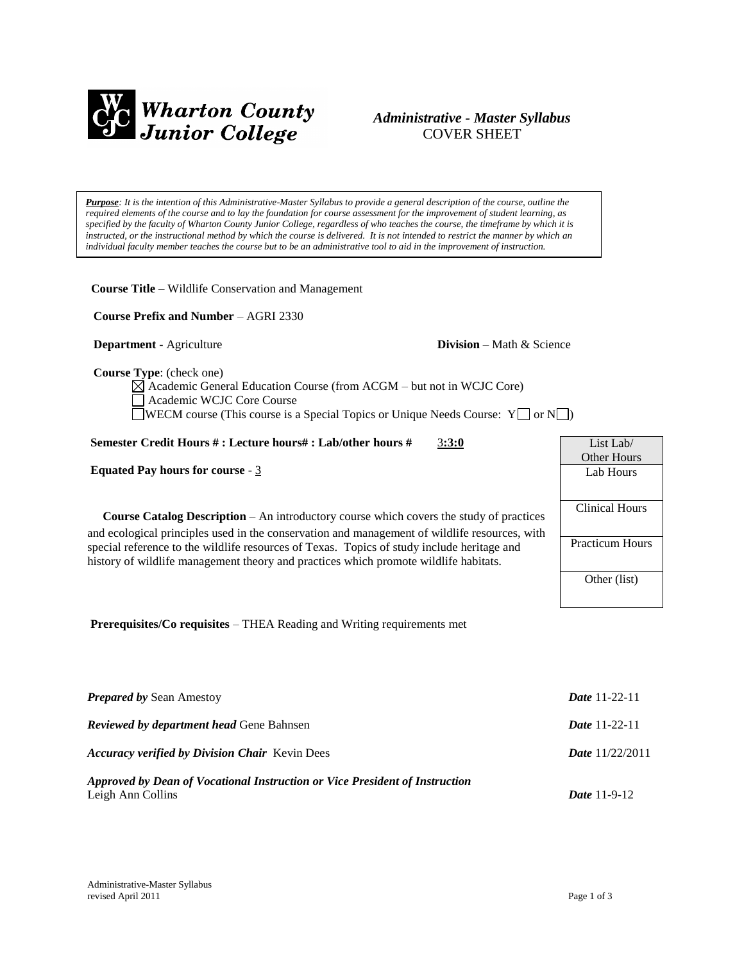

# *Administrative - Master Syllabus*  COVER SHEET

*Purpose: It is the intention of this Administrative-Master Syllabus to provide a general description of the course, outline the required elements of the course and to lay the foundation for course assessment for the improvement of student learning, as specified by the faculty of Wharton County Junior College, regardless of who teaches the course, the timeframe by which it is instructed, or the instructional method by which the course is delivered. It is not intended to restrict the manner by which an individual faculty member teaches the course but to be an administrative tool to aid in the improvement of instruction.*

**Course Title** – Wildlife Conservation and Management

 **Course Prefix and Number** – AGRI 2330

**Department** - Agriculture **Division** – Math & Science

 **Course Type**: (check one)

 $\boxtimes$  Academic General Education Course (from ACGM – but not in WCJC Core) Academic WCJC Core Course WECM course (This course is a Special Topics or Unique Needs Course:  $Y \Box$  or  $N \Box$ )

#### **Semester Credit Hours # : Lecture hours# : Lab/other hours #** 3**:3:0**

**Equated Pay hours for course** - 3

**Course Catalog Description** – An introductory course which covers the study of practices and ecological principles used in the conservation and management of wildlife resources, with special reference to the wildlife resources of Texas. Topics of study include heritage and history of wildlife management theory and practices which promote wildlife habitats.



**Prerequisites/Co requisites** – THEA Reading and Writing requirements met

| <b>Prepared by Sean Amestoy</b>                                                                  | <b>Date</b> 11-22-11     |
|--------------------------------------------------------------------------------------------------|--------------------------|
| <b>Reviewed by department head Gene Bahnsen</b>                                                  | <b>Date</b> 11-22-11     |
| <b>Accuracy verified by Division Chair Kevin Dees</b>                                            | <b>Date</b> $11/22/2011$ |
| Approved by Dean of Vocational Instruction or Vice President of Instruction<br>Leigh Ann Collins | <i>Date</i> $11-9-12$    |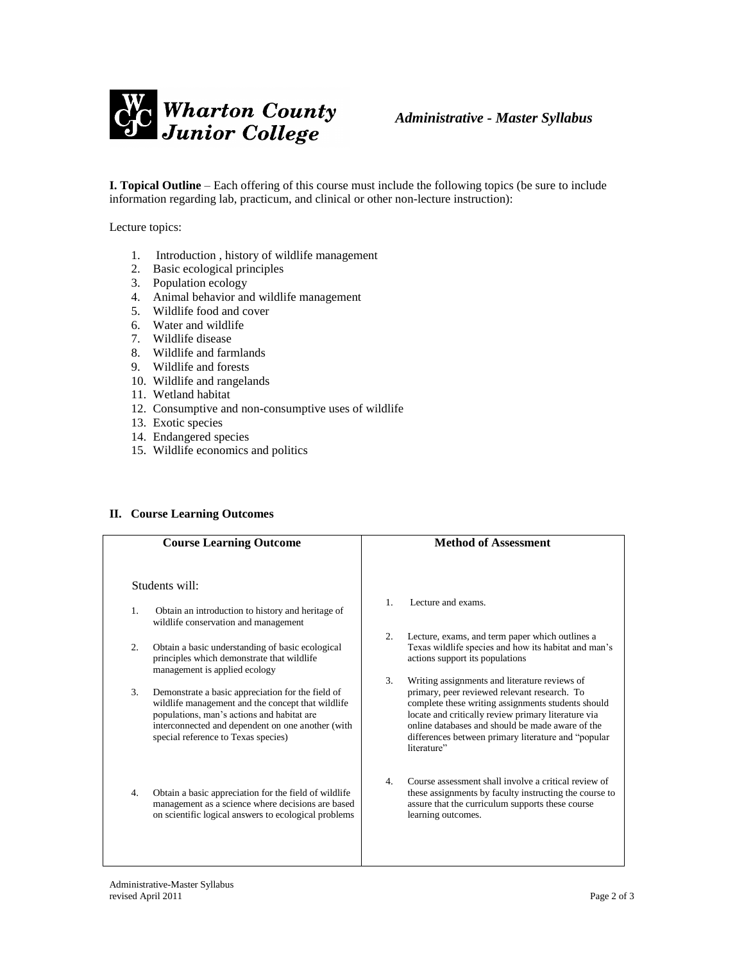

**I. Topical Outline** – Each offering of this course must include the following topics (be sure to include information regarding lab, practicum, and clinical or other non-lecture instruction):

Lecture topics:

- 1. Introduction , history of wildlife management
- 2. Basic ecological principles
- 3. Population ecology
- 4. Animal behavior and wildlife management
- 5. Wildlife food and cover
- 6. Water and wildlife
- 7. Wildlife disease
- 8. Wildlife and farmlands
- 9. Wildlife and forests
- 10. Wildlife and rangelands
- 11. Wetland habitat
- 12. Consumptive and non-consumptive uses of wildlife
- 13. Exotic species
- 14. Endangered species
- 15. Wildlife economics and politics

## **II. Course Learning Outcomes**

|    | <b>Course Learning Outcome</b>                                                                                                                                                                                                                   |                | <b>Method of Assessment</b>                                                                                                                                                                                                                                                                                                          |
|----|--------------------------------------------------------------------------------------------------------------------------------------------------------------------------------------------------------------------------------------------------|----------------|--------------------------------------------------------------------------------------------------------------------------------------------------------------------------------------------------------------------------------------------------------------------------------------------------------------------------------------|
|    | Students will:                                                                                                                                                                                                                                   |                |                                                                                                                                                                                                                                                                                                                                      |
| 1. | Obtain an introduction to history and heritage of<br>wildlife conservation and management                                                                                                                                                        | $\mathbf{1}$ . | Lecture and exams.                                                                                                                                                                                                                                                                                                                   |
| 2. | Obtain a basic understanding of basic ecological<br>principles which demonstrate that wildlife<br>management is applied ecology                                                                                                                  | 2.             | Lecture, exams, and term paper which outlines a<br>Texas wildlife species and how its habitat and man's<br>actions support its populations                                                                                                                                                                                           |
| 3. | Demonstrate a basic appreciation for the field of<br>wildlife management and the concept that wildlife<br>populations, man's actions and habitat are<br>interconnected and dependent on one another (with<br>special reference to Texas species) | 3.             | Writing assignments and literature reviews of<br>primary, peer reviewed relevant research. To<br>complete these writing assignments students should<br>locate and critically review primary literature via<br>online databases and should be made aware of the<br>differences between primary literature and "popular<br>literature" |
| 4. | Obtain a basic appreciation for the field of wildlife<br>management as a science where decisions are based<br>on scientific logical answers to ecological problems                                                                               | 4.             | Course assessment shall involve a critical review of<br>these assignments by faculty instructing the course to<br>assure that the curriculum supports these course<br>learning outcomes.                                                                                                                                             |
|    |                                                                                                                                                                                                                                                  |                |                                                                                                                                                                                                                                                                                                                                      |